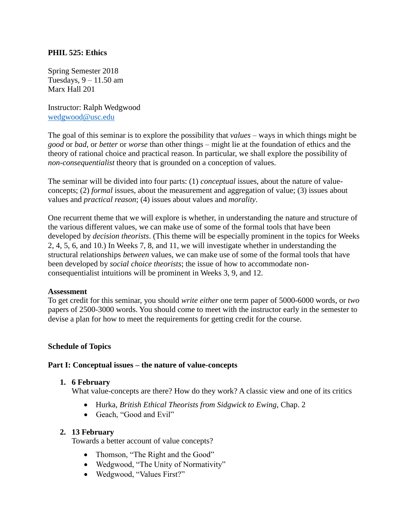## **PHIL 525: Ethics**

Spring Semester 2018 Tuesdays, 9 – 11.50 am Marx Hall 201

Instructor: Ralph Wedgwood [wedgwood@usc.edu](mailto:wedgwood@usc.edu)

The goal of this seminar is to explore the possibility that *values* – ways in which things might be *good* or *bad*, or *better* or *worse* than other things – might lie at the foundation of ethics and the theory of rational choice and practical reason. In particular, we shall explore the possibility of *non-consequentialist* theory that is grounded on a conception of values.

The seminar will be divided into four parts: (1) *conceptual* issues, about the nature of valueconcepts; (2) *formal* issues, about the measurement and aggregation of value; (3) issues about values and *practical reason*; (4) issues about values and *morality*.

One recurrent theme that we will explore is whether, in understanding the nature and structure of the various different values, we can make use of some of the formal tools that have been developed by *decision theorists*. (This theme will be especially prominent in the topics for Weeks 2, 4, 5, 6, and 10.) In Weeks 7, 8, and 11, we will investigate whether in understanding the structural relationships *between* values, we can make use of some of the formal tools that have been developed by *social choice theorists*; the issue of how to accommodate nonconsequentialist intuitions will be prominent in Weeks 3, 9, and 12.

## **Assessment**

To get credit for this seminar, you should *write either* one term paper of 5000-6000 words, or *two* papers of 2500-3000 words. You should come to meet with the instructor early in the semester to devise a plan for how to meet the requirements for getting credit for the course.

## **Schedule of Topics**

## **Part I: Conceptual issues – the nature of value-concepts**

#### **1. 6 February**

What value-concepts are there? How do they work? A classic view and one of its critics

- Hurka, *British Ethical Theorists from Sidgwick to Ewing*, Chap. 2
- Geach, "Good and Evil"

## **2. 13 February**

Towards a better account of value concepts?

- Thomson, "The Right and the Good"
- Wedgwood, "The Unity of Normativity"
- Wedgwood, "Values First?"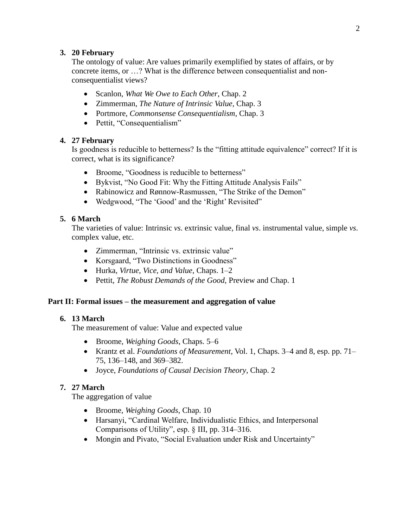# **3. 20 February**

The ontology of value: Are values primarily exemplified by states of affairs, or by concrete items, or …? What is the difference between consequentialist and nonconsequentialist views?

- Scanlon, *What We Owe to Each Other*, Chap. 2
- Zimmerman, *The Nature of Intrinsic Value*, Chap. 3
- Portmore, *Commonsense Consequentialism*, Chap. 3
- Pettit, "Consequentialism"

# **4. 27 February**

Is goodness is reducible to betterness? Is the "fitting attitude equivalence" correct? If it is correct, what is its significance?

- Broome, "Goodness is reducible to betterness"
- Bykvist, "No Good Fit: Why the Fitting Attitude Analysis Fails"
- Rabinowicz and Rønnow-Rasmussen, "The Strike of the Demon"
- Wedgwood, "The 'Good' and the 'Right' Revisited"

# **5. 6 March**

The varieties of value: Intrinsic *vs*. extrinsic value, final *vs*. instrumental value, simple *vs*. complex value, etc.

- Zimmerman, "Intrinsic vs. extrinsic value"
- Korsgaard, "Two Distinctions in Goodness"
- Hurka, *Virtue, Vice, and Value*, Chaps. 1–2
- Pettit, *The Robust Demands of the Good*, Preview and Chap. 1

## **Part II: Formal issues – the measurement and aggregation of value**

## **6. 13 March**

The measurement of value: Value and expected value

- Broome, *Weighing Goods*, Chaps. 5–6
- Krantz et al. *Foundations of Measurement*, Vol. 1, Chaps. 3–4 and 8, esp. pp. 71– 75, 136–148, and 369–382.
- Joyce, *Foundations of Causal Decision Theory*, Chap. 2

## **7. 27 March**

The aggregation of value

- Broome, *Weighing Goods*, Chap. 10
- Harsanyi, "Cardinal Welfare, Individualistic Ethics, and Interpersonal Comparisons of Utility", esp. § III, pp. 314–316.
- Mongin and Pivato, "Social Evaluation under Risk and Uncertainty"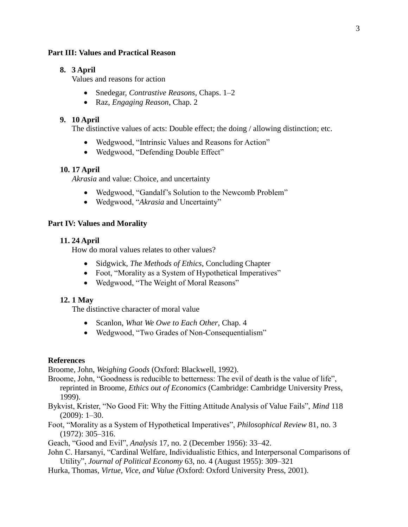#### **Part III: Values and Practical Reason**

### **8. 3 April**

Values and reasons for action

- Snedegar, *Contrastive Reasons*, Chaps. 1–2
- Raz, *Engaging Reason*, Chap. 2

### **9. 10 April**

The distinctive values of acts: Double effect; the doing / allowing distinction; etc.

- Wedgwood, "Intrinsic Values and Reasons for Action"
- Wedgwood, "Defending Double Effect"

#### **10. 17 April**

*Akrasia* and value: Choice, and uncertainty

- Wedgwood, "Gandalf's Solution to the Newcomb Problem"
- Wedgwood, "*Akrasia* and Uncertainty"

### **Part IV: Values and Morality**

#### **11. 24 April**

How do moral values relates to other values?

- Sidgwick, *The Methods of Ethics*, Concluding Chapter
- Foot, "Morality as a System of Hypothetical Imperatives"
- Wedgwood, "The Weight of Moral Reasons"

#### **12. 1 May**

The distinctive character of moral value

- Scanlon, *What We Owe to Each Other*, Chap. 4
- Wedgwood, "Two Grades of Non-Consequentialism"

#### **References**

Broome, John, *Weighing Goods* (Oxford: Blackwell, 1992).

Broome, John, "Goodness is reducible to betterness: The evil of death is the value of life", reprinted in Broome, *Ethics out of Economics* (Cambridge: Cambridge University Press, 1999).

Bykvist, Krister, "No Good Fit: Why the Fitting Attitude Analysis of Value Fails", *Mind* 118 (2009): 1–30.

Foot, "Morality as a System of Hypothetical Imperatives", *Philosophical Review* 81, no. 3 (1972): 305–316.

Geach, "Good and Evil", *Analysis* 17, no. 2 (December 1956): 33–42.

- John C. Harsanyi, "Cardinal Welfare, Individualistic Ethics, and Interpersonal Comparisons of Utility", *Journal of Political Economy* 63, no. 4 (August 1955): 309–321
- Hurka, Thomas, *Virtue, Vice, and Value (*Oxford: Oxford University Press, 2001).